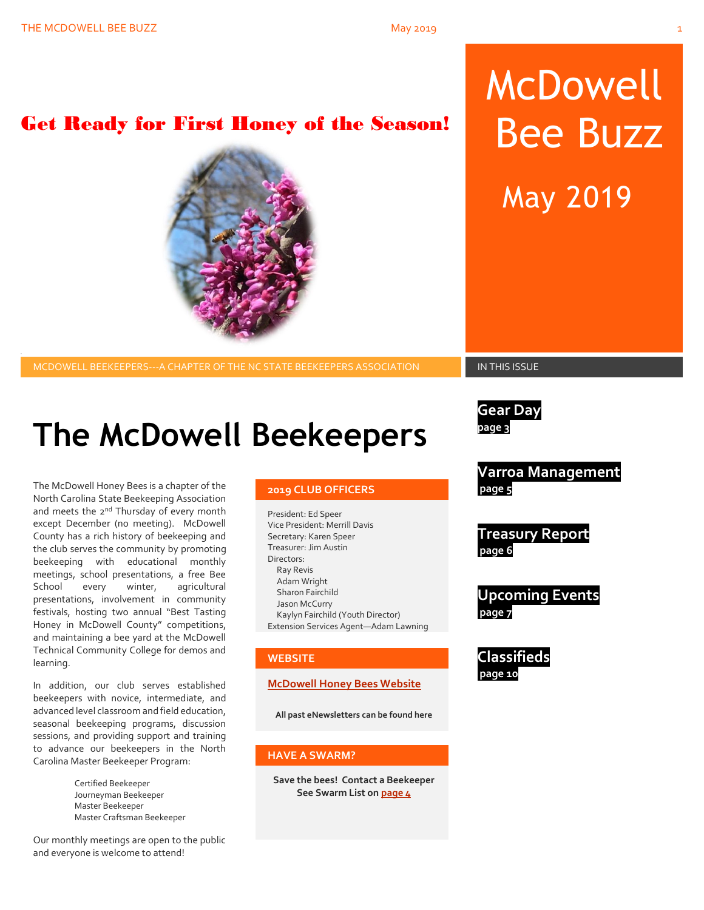# Get Ready for First Honey of the Season!

# **2019 CLUB OFFICERS**

President: Ed Speer Vice President: Merrill Davis Secretary: Karen Speer Treasurer: Jim Austin Directors: Ray Revis Adam Wright Sharon Fairchild Jason McCurry Kaylyn Fairchild (Youth Director) Extension Services Agent—Adam Lawning

#### **WEBSITE**

#### **[McDowell Honey Bees Website](http://www.mcdowellhoneybees.org/)**

**All past eNewsletters can be found here**

#### **HAVE A SWARM?**

**Save the bees! Contact a Beekeeper See Swarm List o[n page 4](#page-8-0)**

# McDowell Bee Buzz

May 2019

MCDOWELL BEEKEEPERS---A CHAPTER OF THE NC STATE BEEKEEPERS ASSOCIATION **IN THIS ISSUE** 

**Gear Day** 

**page 3**

**Varroa Management page 5**

**Treasury Report page 6**

**Upcoming Events page 7**

**Classifieds page 10**

**The McDowell Beekeepers**

The McDowell Honey Bees is a chapter of the North Carolina State Beekeeping Association and meets the 2<sup>nd</sup> Thursday of every month except December (no meeting). McDowell County has a rich history of beekeeping and the club serves the community by promoting beekeeping with educational monthly meetings, school presentations, a free Bee School every winter, agricultural presentations, involvement in community festivals, hosting two annual "Best Tasting Honey in McDowell County" competitions, and maintaining a bee yard at the McDowell Technical Community College for demos and learning.

In addition, our club serves established beekeepers with novice, intermediate, and advanced level classroom and field education, seasonal beekeeping programs, discussion sessions, and providing support and training to advance our beekeepers in the North Carolina Master Beekeeper Program:

> Certified Beekeeper Journeyman Beekeeper Master Beekeeper Master Craftsman Beekeeper

Our monthly meetings are open to the public and everyone is welcome to attend!

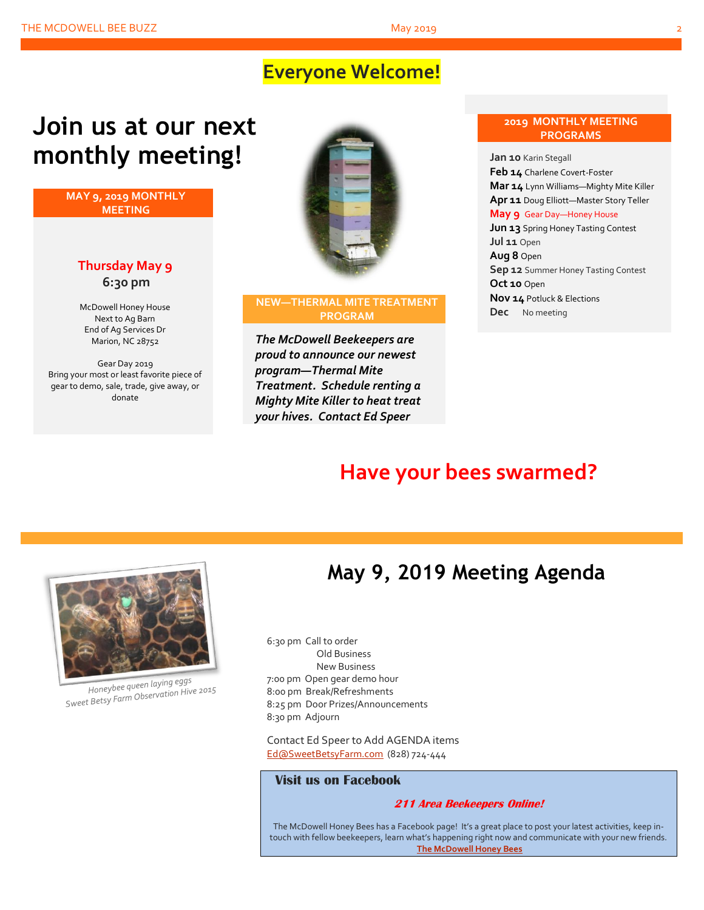# **Everyone Welcome!**

# **Join us at our next monthly meeting!**

**MAY 9, 2019 MONTHLY MEETING**

### **Thursday May 9 6:30 pm**

McDowell Honey House Next to Ag Barn End of Ag Services Dr Marion, NC 28752

Gear Day 2019 Bring your most or least favorite piece of gear to demo, sale, trade, give away, or donate



#### **NEW—THERMAL MITE TREATMENT PROGRAM**

*The McDowell Beekeepers are proud to announce our newest program—Thermal Mite Treatment. Schedule renting a Mighty Mite Killer to heat treat your hives. Contact Ed Speer*

#### **2019 MONTHLY MEETING PROGRAMS**

**Jan 10** Karin Stegall **Feb 14** Charlene Covert-Foster **Mar 14** Lynn Williams—Mighty Mite Killer **Apr 11** Doug Elliott—Master Story Teller **May 9** Gear Day—Honey House **Jun 13** Spring Honey Tasting Contest **Jul 11** Open **Aug 8** Open **Sep 12** Summer Honey Tasting Contest **Oct 10** Open **Nov 14** Potluck & Elections **Dec** No meeting

# **Have your bees swarmed?**



Honeybee queen laying eggs Honeybee queen laying eyys<br>Sweet Betsy Farm Observation Hive 2015

# **May 9, 2019 Meeting Agenda**

6:30 pm Call to order Old Business New Business 7:00 pm Open gear demo hour 8:00 pm Break/Refreshments 8:25 pm Door Prizes/Announcements 8:30 pm Adjourn

Contact Ed Speer to Add AGENDA items [Ed@SweetBetsyFarm.com](mailto:Ed@SweetBetsyFarm.com) (828) 724-444

#### **Visit us on Facebook**

#### **211 Area Beekeepers Online!**

The McDowell Honey Bees has a Facebook page! It's a great place to post your latest activities, keep intouch with fellow beekeepers, learn what's happening right now and communicate with your new friends. **[The McDowell Honey Bees](https://www.facebook.com/groups/MHBee/)**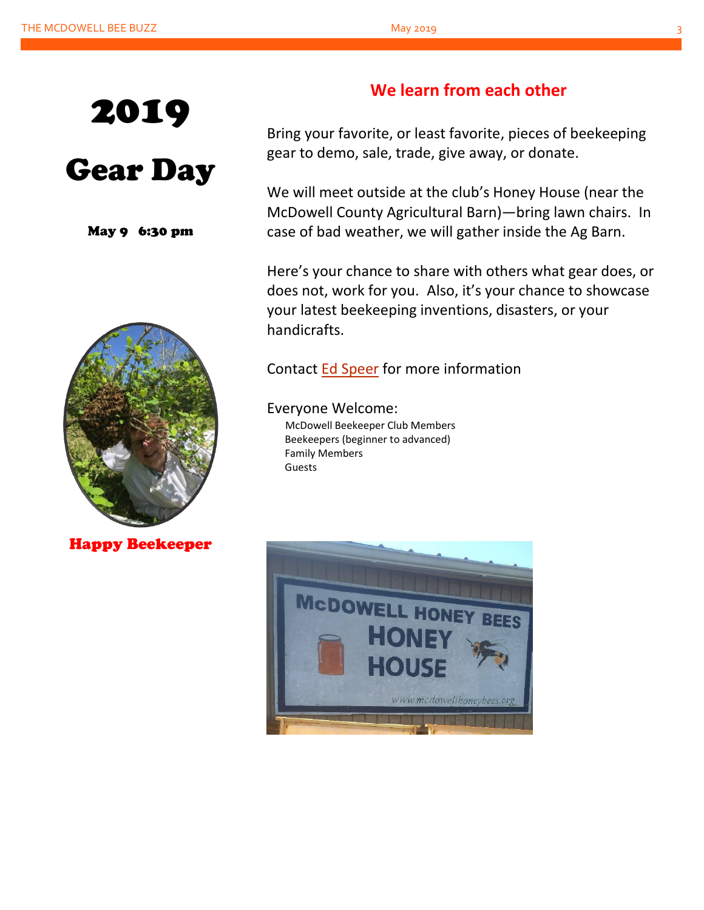

# Gear Day

May 9 6:30 pm



Happy Beekeeper

## **We learn from each other**

Bring your favorite, or least favorite, pieces of beekeeping gear to demo, sale, trade, give away, or donate.

We will meet outside at the club's Honey House (near the McDowell County Agricultural Barn)—bring lawn chairs. In case of bad weather, we will gather inside the Ag Barn.

Here's your chance to share with others what gear does, or does not, work for you. Also, it's your chance to showcase your latest beekeeping inventions, disasters, or your handicrafts.

## Contact [Ed Speer](mailto:Ed@SweetBetsyFarm.com) for more information

Everyone Welcome: McDowell Beekeeper Club Members Beekeepers (beginner to advanced) Family Members Guests

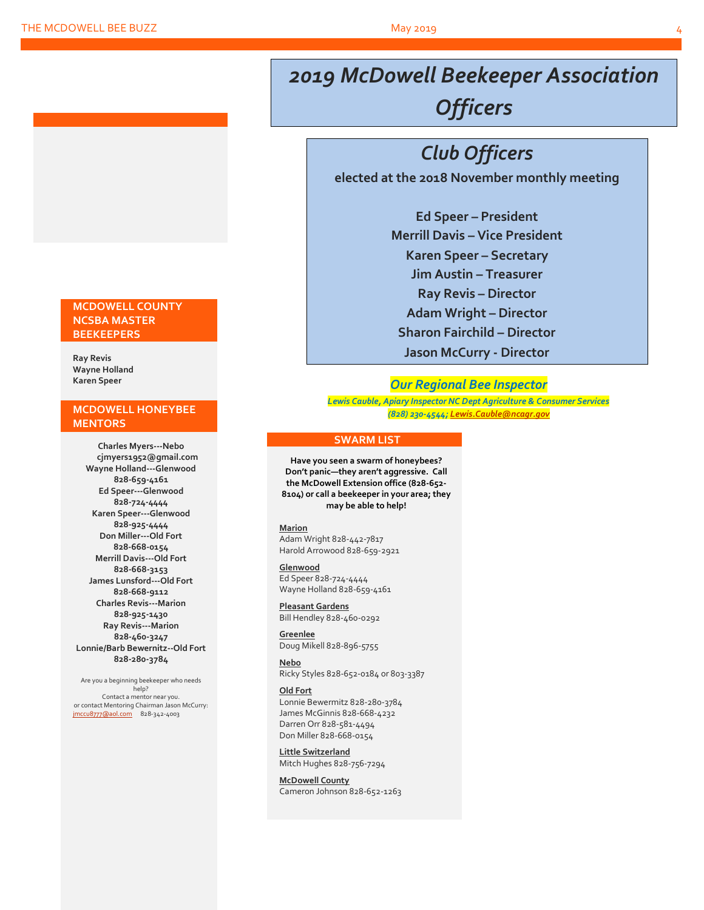# *2019 McDowell Beekeeper Association Officers*

# *Club Officers*

**elected at the 2018 November monthly meeting**

**Ed Speer – President Merrill Davis – Vice President Karen Speer – Secretary Jim Austin – Treasurer Ray Revis – Director Adam Wright – Director Sharon Fairchild – Director Jason McCurry - Director**

### *Our Regional Bee Inspector*

*Lewis Cauble, Apiary Inspector NC Dept Agriculture & Consumer Services (828) 230-4544[; Lewis.Cauble@ncagr.gov](file:///L:/Beekeeping/Beekeeping%202019/McDowell%20Honeybees%202019/MHB%20Newsletters%202019/Apr%202019/Lewis.Cauble@ncagr.gov)*

#### **SWARM LIST**

**Have you seen a swarm of honeybees? Don't panic—they aren't aggressive. Call the McDowell Extension office (828-652- 8104) or call a beekeeper in your area; they may be able to help!**

#### **Marion**

Adam Wright 828-442-7817 Harold Arrowood 828-659-2921

#### **Glenwood**

Ed Speer 828-724-4444 Wayne Holland 828-659-4161

**Pleasant Gardens** Bill Hendley 828-460-0292

**Greenlee** Doug Mikell 828-896-5755

#### **Nebo**

Ricky Styles 828-652-0184 or 803-3387

#### **Old Fort**

Lonnie Bewermitz 828-280-3784 James McGinnis 828-668-4232 Darren Orr 828-581-4494 Don Miller 828-668-0154

**Little Switzerland** Mitch Hughes 828-756-7294

**McDowell County** Cameron Johnson 828-652-1263

#### **MCDOWELL COUNTY NCSBA MASTER BEEKEEPERS**

**Ray Revis Wayne Holland Karen Speer**

#### **MCDOWELL HONEYBEE MENTORS**

**Charles Myers---Nebo cjmyers1952@gmail.com Wayne Holland---Glenwood 828-659-4161 Ed Speer---Glenwood 828-724-4444 Karen Speer---Glenwood 828-925-4444 Don Miller---Old Fort 828-668-0154 Merrill Davis---Old Fort 828-668-3153 James Lunsford---Old Fort 828-668-9112 Charles Revis---Marion 828-925-1430 Ray Revis---Marion 828-460-3247 Lonnie/Barb Bewernitz--Old Fort 828-280-3784**

Are you a beginning beekeeper who needs help? Contact a mentor near you. or contact Mentoring Chairman Jason McCurry: [jmccu8777@aol.com](mailto:jmccu8777@aol.com)828-342-4003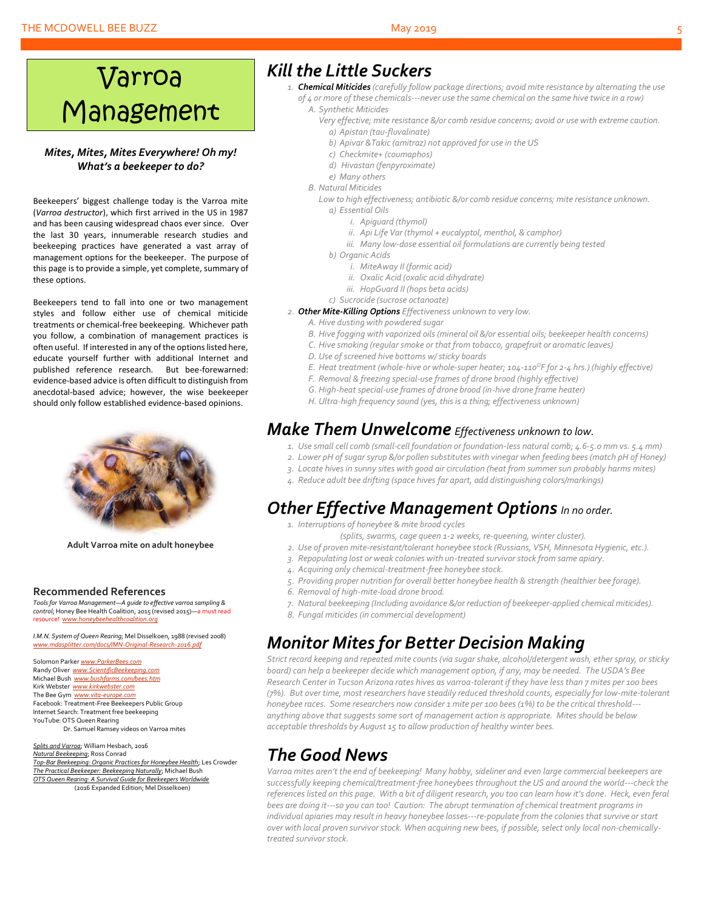#### THE MCDOWELL BEE BUZZ May 2019

# Varroa Management

#### *Mites, Mites, Mites Everywhere! Oh my! What's a beekeeper to do?*

Beekeepers' biggest challenge today is the Varroa mite (*Varroa destructor*), which first arrived in the US in 1987 and has been causing widespread chaos ever since. Over the last 30 years, innumerable research studies and beekeeping practices have generated a vast array of management options for the beekeeper. The purpose of this page is to provide a simple, yet complete, summary of these options.

Beekeepers tend to fall into one or two management styles and follow either use of chemical miticide treatments or chemical-free beekeeping. Whichever path you follow, a combination of management practices is often useful. If interested in any of the options listed here, educate yourself further with additional Internet and published reference research. But bee-forewarned: evidence-based advice is often difficult to distinguish from anecdotal-based advice; however, the wise beekeeper should only follow established evidence-based opinions.



**Adult Varroa mite on adult honeybee**

#### **Recommended References**

*Tools for Varroa Management—A guide to effective varroa sampling & control*; Honey Bee Health Coalition, 2015 (revised 2015)—a must read resource! *[www.honeybeehealthcoalition.org](http://www.honeybeehealthcoalition.org/)*

*I.M.N. System of Queen Rearing*; Mel Disselkoen, 1988 (revised 2008) asplitter.com/docs/IMN-Original-Research-

Solomon Parker *[www.ParkerBees.com](http://www.parkerbees.com/)* Randy Oliver *[www.ScientificBeekeeping.com](http://www.scientificbeekeeping.com/)*  Michael Bush *[www.bushfarms.com/bees.htm](http://www.bushfarms.com/bees.htm)* Kirk Webster *[www.kirkwebster.com](http://www.kirkwebster.com/)* The Bee Gym *[www.vita-europe.com](http://www.vita-europe.com/)* Facebook: Treatment-Free Beekeepers Public Group Internet Search: Treatment free beekeeping YouTube: OTS Queen Rearing Dr. Samuel Ramsey videos on Varroa mites

*Splits and Varroa*; William Hesbach, 2016 *Natural Beekeeping*; Ross Conrad *Top-Bar Beekeeping: Organic Practices for Honeybee Health*; Les Crowder *The Practical Beekeeper: Beekeeping Naturally*; Michael Bush *OTS Queen Rearing: A Survival Guide for Beekeepers Worldwide* (2016 Expanded Edition; Mel Disselkoen)

## *Kill the Little Suckers*

- *1. Chemical Miticides (carefully follow package directions; avoid mite resistance by alternating the use of 4 or more of these chemicals---never use the same chemical on the same hive twice in a row) A. Synthetic Miticides*
	-
	- *Very effective; mite resistance &/or comb residue concerns; avoid or use with extreme caution. a) Apistan (tau-fluvalinate)*
		- *b) Apivar &Takic (amitraz) not approved for use in the US*
		- *c) Checkmite+ (coumaphos)*
		- *d) Hivastan (fenpyroximate)*
		- *e) Many others*
	- *B. Natural Miticides*

*Low to high effectiveness; antibiotic &/or comb residue concerns; mite resistance unknown. a) Essential Oils*

- *i. Apiguard (thymol)*
- *ii. Api Life Var (thymol + eucalyptol, menthol, & camphor)*
- *iii. Many low-dose essential oil formulations are currently being tested*
- *b) Organic Acids*
	- *i. MiteAway II (formic acid)*
	- *ii. Oxalic Acid (oxalic acid dihydrate)*
	- *iii. HopGuard II (hops beta acids)*
- *c) Sucrocide (sucrose octanoate)*
- *2. Other Mite-Killing Options Effectiveness unknown to very low.*
	- *A. Hive dusting with powdered sugar*
	- *B. Hive fogging with vaporized oils (mineral oil &/or essential oils; beekeeper health concerns)*
	- *C. Hive smoking (regular smoke or that from tobacco, grapefruit or aromatic leaves)*
	- *D. Use of screened hive bottoms w/ sticky boards*
	- *E. Heat treatment (whole-hive or whole-super heater; 104-110<sup>O</sup>F for 2-4 hrs.) (highly effective)*
	- *F. Removal & freezing special-use frames of drone brood (highly effective)*
	- *G. High-heat special-use frames of drone brood (in-hive drone frame heater)*
	- *H. Ultra-high frequency sound (yes, this is a thing; effectiveness unknown)*

## *Make Them Unwelcome Effectiveness unknown to low.*

- *1. Use small cell comb (small-cell foundation or foundation-less natural comb; 4.6-5.0 mm vs. 5.4 mm)*
- *2. Lower pH of sugar syrup &/or pollen substitutes with vinegar when feeding bees (match pH of Honey)*
- *3. Locate hives in sunny sites with good air circulation (heat from summer sun probably harms mites)*
- *4. Reduce adult bee drifting (space hives far apart, add distinguishing colors/markings)*

## *Other Effective Management Options In no order.*

- *1. Interruptions of honeybee & mite brood cycles*
	- *(splits, swarms, cage queen 1-2 weeks, re-queening, winter cluster).*
- *2. Use of proven mite-resistant/tolerant honeybee stock (Russians, VSH, Minnesota Hygienic, etc.).*
- *3. Repopulating lost or weak colonies with un-treated survivor stock from same apiary.*
- *4. Acquiring only chemical-treatment-free honeybee stock.*
- *5. Providing proper nutrition for overall better honeybee health & strength (healthier bee forage).*
- *6. Removal of high-mite-load drone brood.*
- *7. Natural beekeeping (Including avoidance &/or reduction of beekeeper-applied chemical miticides).*
- *8. Fungal miticides (in commercial development)*

## *Monitor Mites for Better Decision Making*

*Strict record keeping and repeated mite counts (via sugar shake, alcohol/detergent wash, ether spray, or sticky board) can help a beekeeper decide which management option, if any, may be needed. The USDA's Bee Research Center in Tucson Arizona rates hives as varroa-tolerant if they have less than 7 mites per 100 bees (7%). But over time, most researchers have steadily reduced threshold counts, especially for low-mite-tolerant honeybee races. Some researchers now consider 1 mite per 100 bees (1%) to be the critical threshold-- anything above that suggests some sort of management action is appropriate. Mites should be below acceptable thresholds by August 15 to allow production of healthy winter bees.*

# *The Good News*

*Varroa mites aren't the end of beekeeping! Many hobby, sideliner and even large commercial beekeepers are successfully keeping chemical/treatment-free honeybees throughout the US and around the world---check the references listed on this page. With a bit of diligent research, you too can learn how it's done. Heck, even feral bees are doing it---so you can too! Caution: The abrupt termination of chemical treatment programs in individual apiaries may result in heavy honeybee losses---re-populate from the colonies that survive or start over with local proven survivor stock. When acquiring new bees, if possible, select only local non-chemicallytreated survivor stock.*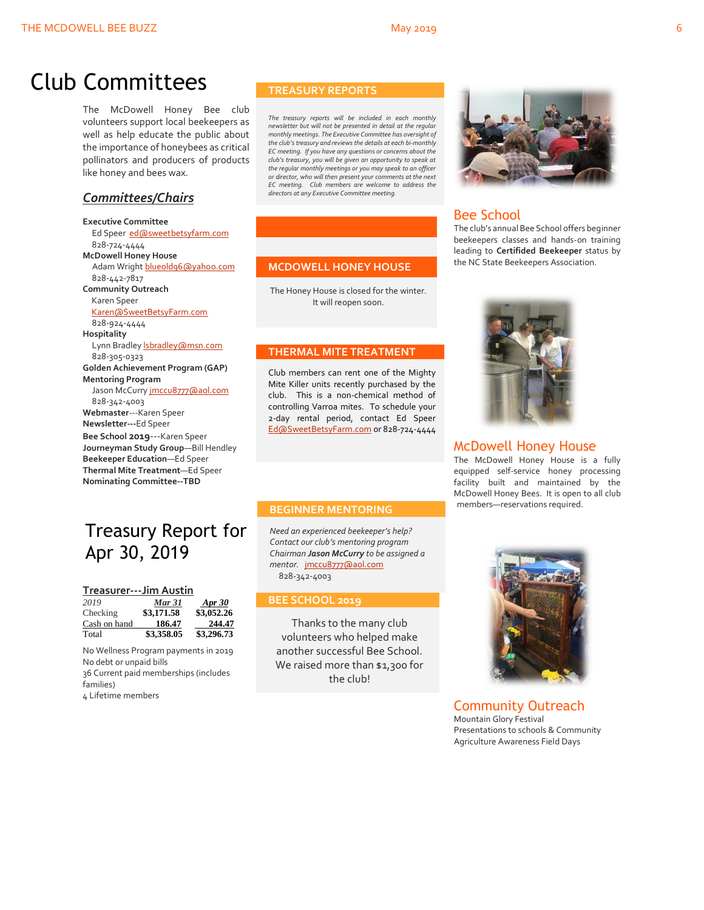# Club Committees

The McDowell Honey Bee club volunteers support local beekeepers as well as help educate the public about the importance of honeybees as critical pollinators and producers of products like honey and bees wax.

## *Committees/Chairs*

**Executive Committee** Ed Speer [ed@sweetbetsyfarm.com](mailto:ed@sweetbetsyfarm.com) 828-724-4444 **McDowell Honey House** Adam Wright [blueold96@yahoo.com](mailto:blueold96@yahoo.com) 828-442-7817 **Community Outreach** Karen Speer [Karen@SweetBetsyFarm.com](mailto:Karen@SweetBetsyFarm.com) 828-924-4444 **Hospitality** Lynn Bradley *sbradley* @msn.com 828-305-0323 **Golden Achievement Program (GAP) Mentoring Program** Jason McCurry [jmccu8777@aol.com](mailto:jmccu8777@aol.com) 828-342-4003 **Webmaster**---Karen Speer **Newsletter---**Ed Speer **Bee School 2019**---Karen Speer **Journeyman Study Group**—Bill Hendley **Beekeeper Education**—Ed Speer **Thermal Mite Treatment**—Ed Speer **Nominating Committee--TBD**

## Treasury Report for Apr 30, 2019

#### **Treasurer---Jim Austin**

| 2019         | Mar 31     | <b>Apr</b> 30 |
|--------------|------------|---------------|
| Checking     | \$3,171.58 | \$3,052.26    |
| Cash on hand | 186.47     | 244.47        |
| Total        | \$3,358.05 | \$3,296.73    |

No Wellness Program payments in 2019 No debt or unpaid bills 36 Current paid memberships (includes families)

4 Lifetime members

#### **TREASURY REPORTS**

*The treasury reports will be included in each monthly newsletter but will not be presented in detail at the regular monthly meetings. The Executive Committee has oversight of the club's treasury and reviews the details at each bi-monthly EC meeting. If you have any questions or concerns about the club's treasury, you will be given an opportunity to speak at the regular monthly meetings or you may speak to an officer or director, who will then present your comments at the next EC meeting. Club members are welcome to address the directors at any Executive Committee meeting.*

#### **MCDOWELL HONEY HOUSE**

The Honey House is closed for the winter. It will reopen soon.

#### **THERMAL MITE TREATMENT**

Club members can rent one of the Mighty Mite Killer units recently purchased by the club. This is a non-chemical method of controlling Varroa mites. To schedule your 2-day rental period, contact Ed Speer [Ed@SweetBetsyFarm.com](mailto:Ed@SweetBetsyFarm.com) or 828-724-4444

#### **BEGINNER MENTORING**

*Need an experienced beekeeper's help? Contact our club's mentoring program Chairman Jason McCurry to be assigned a mentor.* [jmccu8777@aol.com](mailto:jmccu8777@aol.com) 828-342-4003

#### **BEE SCHOOL 2019**

Thanks to the many club volunteers who helped make another successful Bee School. We raised more than \$1,300 for the club!



### Bee School

The club's annual Bee School offers beginner beekeepers classes and hands-on training leading to **Certifided Beekeeper** status by the NC State Beekeepers Association.



#### McDowell Honey House

The McDowell Honey House is a fully equipped self-service honey processing facility built and maintained by the McDowell Honey Bees. It is open to all club members—reservations required.



Community Outreach Mountain Glory Festival Presentations to schools & Community Agriculture Awareness Field Days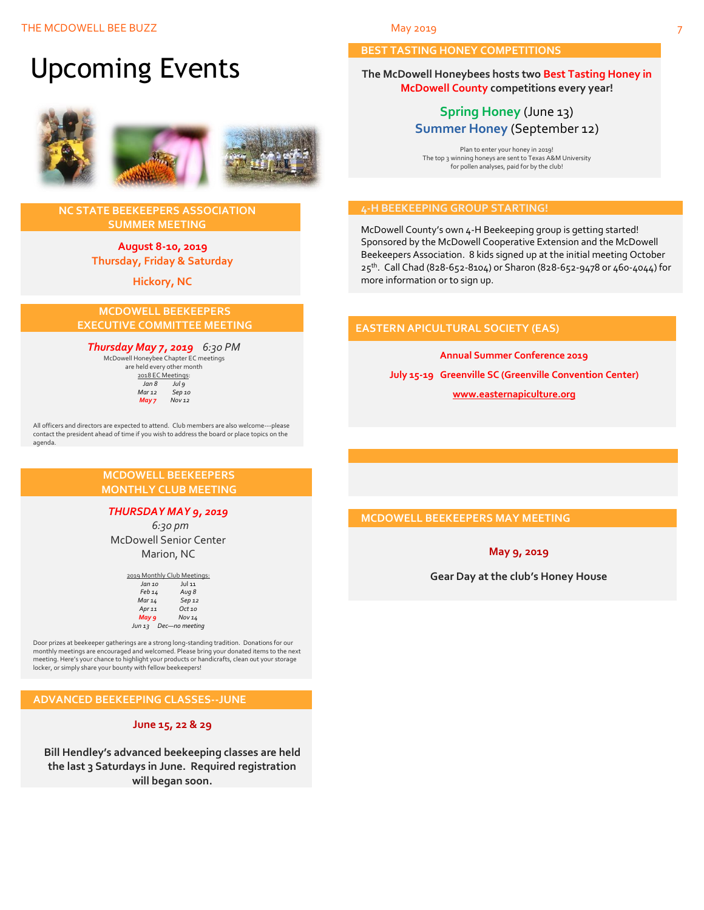# Upcoming Events



#### **NC STATE BEEKEEPERS ASSOCIATION SUMMER MEETING**

**August 8-10, 2019 Thursday, Friday & Saturday**

**Hickory, NC**

#### **MCDOWELL BEEKEEPERS EXECUTIVE COMMITTEE MEETING**

## *Thursday May 7, 2019 6:30 PM* McDowell Honeybee Chapter EC meetings

are held every other month  $\frac{2018 \text{ EC Meeting:}}{tan 8}$ *Jul 9*<br>Sep 10 *Mar* 12<br>*May* **7**  *May 7 Nov 12*

All officers and directors are expected to attend. Club members are also welcome---please contact the president ahead of time if you wish to address the board or place topics on the agenda.

#### **MCDOWELL BEEKEEPERS MONTHLY CLUB MEETING**

#### *THURSDAY MAY 9, 2019*

 *6:30 pm* McDowell Senior Center Marion, NC

> 2019 Monthly Club Meetings: *Jan 10* Jul 11 *Feb 14 Aug 8 Mar 14 Sep 12 Apr 11 Oct 10 May 9 Nov 14 Jun 13 Dec—no meeting*

Door prizes at beekeeper gatherings are a strong long-standing tradition. Donations for our monthly meetings are encouraged and welcomed. Please bring your donated items to the next meeting. Here's your chance to highlight your products or handicrafts, clean out your storage locker, or simply share your bounty with fellow beekeepers!

#### **ADVANCED BEEKEEPING CLASSES--JUNE**

#### **June 15, 22 & 29**

**Bill Hendley's advanced beekeeping classes are held the last 3 Saturdays in June. Required registration will began soon.**

#### **BEST TASTING HONEY COMPETITIONS**

**The McDowell Honeybees hosts two Best Tasting Honey in McDowell County competitions every year!**

## **Spring Honey** (June 13) **Summer Honey** (September 12)

Plan to enter your honey in 2019! The top 3 winning honeys are sent to Texas A&M University for pollen analyses, paid for by the club!

#### **4-H BEEKEEPING GROUP STARTING!**

McDowell County's own 4-H Beekeeping group is getting started! Sponsored by the McDowell Cooperative Extension and the McDowell Beekeepers Association. 8 kids signed up at the initial meeting October 25<sup>th</sup>. Call Chad (828-652-8104) or Sharon (828-652-9478 or 460-4044) for more information or to sign up.

#### **EASTERN APICULTURAL SOCIETY (EAS)**

**Annual Summer Conference 2019**

**July 15-19 Greenville SC (Greenville Convention Center)**

#### **[www.easternapiculture.org](http://www.easternapiculture.org/)**

### **MCDOWELL BEEKEEPERS MAY MEETING**

#### **May 9, 2019**

**Gear Day at the club's Honey House**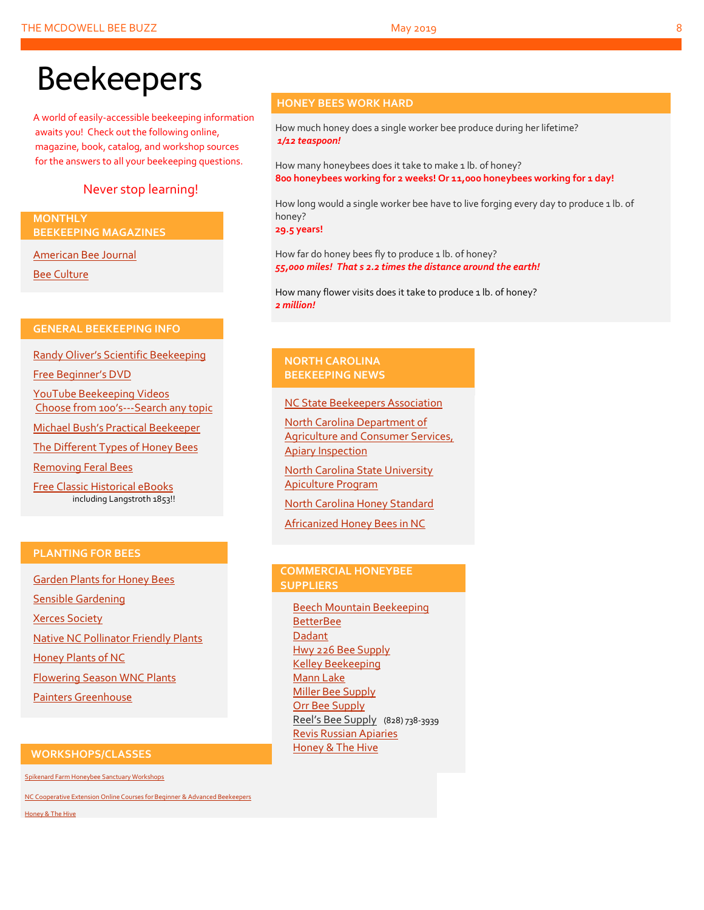# Beekeepers

A world of easily-accessible beekeeping information awaits you! Check out the following online, magazine, book, catalog, and workshop sources for the answers to all your beekeeping questions.

## Never stop learning!

#### **MONTHLY BEEKEEPING MAGAZINES**

[American Bee Journal](http://www.americanbeejournal.com/)

[Bee Culture](http://www.beeculture.com/)

### **GENERAL BEEKEEPING INFO**

Randy Oliver's [Scientific Beekeeping](http://scientificbeekeeping.com/)

[Free Beginner's DVD](http://www.worldofbeekeeping.com/free-kit/)

[YouTube Beekeeping Videos](https://www.youtube.com/results?search_query=beekeeping) Choose from 100's[---Search any topic](https://www.youtube.com/results?search_query=beekeeping)

[Michael Bush's Practical Beekeeper](http://www.bushfarms.com/bees.htm)

[The Different Types of Honey Bees](https://www.cals.ncsu.edu/entomology/apiculture/pdfs/1.12%20copy.pdf)

[Removing Feral Bees](http://www.ces.ncsu.edu/depts/ent/notes/Urban/bees-faq.htm)

[Free Classic Historical eBooks](http://www.apiculture-populaire.com/) including Langstroth 1853!!

#### **HONEY BEES WORK HARD**

How much honey does a single worker bee produce during her lifetime? *1/12 teaspoon!*

How many honeybees does it take to make 1 lb. of honey? **800 honeybees working for 2 weeks! Or 11,000 honeybees working for 1 day!**

How long would a single worker bee have to live forging every day to produce 1 lb. of honey?

**29.5 years!**

How far do honey bees fly to produce 1 lb. of honey? *55,000 miles! That s 2.2 times the distance around the earth!*

How many flower visits does it take to produce 1 lb. of honey? *2 million!*

#### **NORTH CAROLINA BEEKEEPING NEWS**

[NC State Beekeepers Association](http://www.ncbeekeepers.org/)

[North Carolina Department of](http://www.ncbeekeepers.org/resources/apiary-inspection-program)  [Agriculture and Consumer Services,](http://www.ncbeekeepers.org/resources/apiary-inspection-program)  [Apiary Inspection](http://www.ncbeekeepers.org/resources/apiary-inspection-program)

[North Carolina State University](http://entomology.ncsu.edu/apiculture)  [Apiculture Program](http://entomology.ncsu.edu/apiculture)

[North Carolina Honey Standard](http://www.ncbeekeepers.org/honey/nc-honey-standard)

[Africanized Honey Bees in NC](http://wncbees.org/wp-content/uploads/2014/08/AHBs-Some-questions-and-answers-NCSU-1.03.pdf)

### **PLANTING FOR BEES**

[Garden Plants for Honey Bees](http://www.wicwas.com/Garden_Plants_for_Honey_Bees) [Sensible Gardening](http://sensiblegardening.com/busy-busy-bees/) [Xerces Society](http://www.xerces.org/pollinator-conservation/gardens/) [Native NC Pollinator Friendly Plants](http://wncbees.org/wp-content/uploads/2014/07/Recommended-Polliinator-Friendly-Plant-List-for-Greater-Asheville-NC-with-Nurseries.pdf) [Honey Plants of NC](http://wncbees.org/wp-content/uploads/2014/08/Honey-Plants-of-North-Carolina-NCSU-1.04.pdf) [Flowering Season WNC Plants](http://wncbees.org/wp-content/uploads/2014/07/Typical-Flowering-Seasons-for-Western-North-Carolina-Honey-and-Pollen-Sources-Edd-Buchanan-John-Mundy-Chris-Mathis.pdf) [Painters Greenhouse](http://www.paintersgreenhouse.com/)

### **COMMERCIAL HONEYBEE SUPPLIERS**

[Beech Mountain Beekeeping](http://beechmountainbeesupply.com/store/cart.php) **[BetterBee](http://www.betterbee.com/)** [Dadant](https://www.dadant.com/) [Hwy 226 Bee Supply](http://hwy226beesupplies.com/) [Kelley Beekeeping](https://www.kelleybees.com/) [Mann Lake](http://www.mannlakeltd.com/) [Miller Bee Supply](http://millerbeesupply.com/catalog/) [Orr Bee Supply](http://www.orrbeesupply.com/) Reel's Bee Supply (828) 738-3939 [Revis Russian Apiaries](http://revisrussians.com/) [Honey & The Hive](https://www.honeyandthehivenc.com/)

#### **WORKSHOPS/CLASSES**

[Spikenard Farm Honeybee Sanctuary Workshops](http://spikenardfarm.org/)

[NC Cooperative Extension Online Courses for Beginner &](https://entomology.ces.ncsu.edu/apiculture/bees/) Advanced Beekeepers

[Honey & The Hive](https://www.honeyandthehivenc.com/)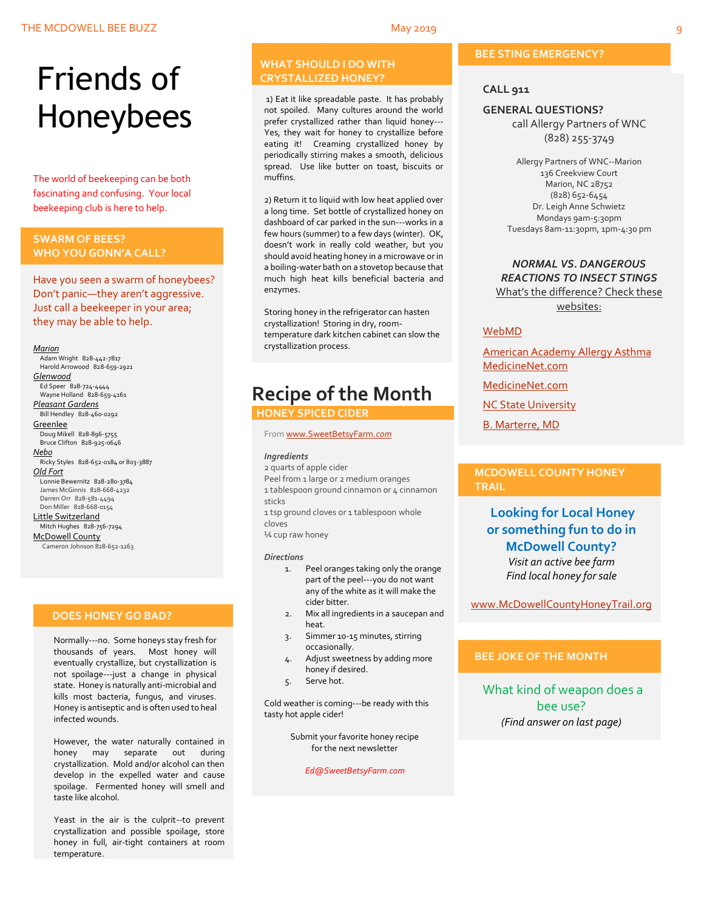# Friends of Honeybees

The world of beekeeping can be both fascinating and confusing. Your local beekeeping club is here to help.

#### <span id="page-8-0"></span>**SWARM OF BEES? WHO YOU GONN'A CALL?**

Have you seen a swarm of honeybees? Don't panic—they aren't aggressive. Just call a beekeeper in your area; they may be able to help.

#### *Marion*

 Adam Wright 828-442-7817 Harold Arrowood 828-659-2921 *Glenwood* Ed Speer 828-724-4444 Wayne Holland 828-659-4161 *Pleasant Gardens* Bill Hendley 828-460-0292 **Greenlee**  Doug Mikell 828-896-5755 Bruce Clifton 828-925-0646 *Nebo* Ricky Styles 828-652-0184 or 803-3887 *Old Fort* Lonnie Bewernitz 828-280-3784 James McGinnis 828-668-4232 Darren Orr 828-581-4494 Don Miller 828-668-0154 Little Switzerland Mitch Hughes 828-756-7294 McDowell County Cameron Johnson 828-652-1263

#### **DOES HONEY GO BAD?**

Normally---no. Some honeys stay fresh for thousands of years. Most honey will eventually crystallize, but crystallization is not spoilage---just a change in physical state. Honey is naturally anti-microbial and kills most bacteria, fungus, and viruses. Honey is antiseptic and is often used to heal infected wounds.

However, the water naturally contained in honey may separate out during crystallization. Mold and/or alcohol can then develop in the expelled water and cause spoilage. Fermented honey will smell and taste like alcohol.

Yeast in the air is the culprit--to prevent crystallization and possible spoilage, store honey in full, air-tight containers at room temperature.

#### **WHAT SHOULD I DO WITH CRYSTALLIZED HONEY?**

1) Eat it like spreadable paste. It has probably not spoiled. Many cultures around the world prefer crystallized rather than liquid honey--- Yes, they wait for honey to crystallize before eating it! Creaming crystallized honey by periodically stirring makes a smooth, delicious spread. Use like butter on toast, biscuits or muffins.

2) Return it to liquid with low heat applied over a long time. Set bottle of crystallized honey on dashboard of car parked in the sun---works in a few hours (summer) to a few days (winter). OK, doesn't work in really cold weather, but you should avoid heating honey in a microwave or in a boiling-water bath on a stovetop because that much high heat kills beneficial bacteria and enzymes.

Storing honey in the refrigerator can hasten crystallization! Storing in dry, roomtemperature dark kitchen cabinet can slow the crystallization process.

# **Recipe of the Month**

### **HONEY SPICED CIDER**

Fro[m www.SweetBetsyFarm.](http://www.sweetbetsyfarm.com/)*com*

#### *Ingredients*

2 quarts of apple cider Peel from 1 large or 2 medium oranges 1 tablespoon ground cinnamon or 4 cinnamon sticks

1 tsp ground cloves or 1 tablespoon whole cloves

¼ cup raw honey

#### *Directions*

- 1. Peel oranges taking only the orange part of the peel---you do not want any of the white as it will make the cider bitter.
- 2. Mix all ingredients in a saucepan and heat.
- 3. Simmer 10-15 minutes, stirring occasionally.
- 4. Adjust sweetness by adding more honey if desired.
- 5. Serve hot.

Cold weather is coming---be ready with this tasty hot apple cider!

> Submit your favorite honey recipe for the next newsletter

> > *Ed@SweetBetsyFarm.com*

#### **BEE STING EMERGENCY?**

#### **CALL 911**

#### **GENERAL QUESTIONS?**

call Allergy Partners of WNC (828) 255-3749

Allergy Partners of WNC--Marion 136 Creekview Court Marion, NC 28752 (828) 652-6454 Dr. Leigh Anne Schwietz Mondays 9am-5:30pm Tuesdays 8am-11:30pm, 1pm-4:30 pm

#### *NORMAL VS. DANGEROUS REACTIONS TO INSECT STINGS* What's the difference? Check these

websites:

#### [WebMD](http://www.webmd.com/allergies/guide/insect-stings)

[American Academy Allergy Asthma](http://www.aaaai.org/conditions-and-treatments/library/allergy-library/stinging-insect-allergy.aspx) [MedicineNet.com](http://www.medicinenet.com/insect_sting_allergies/article.htm)

[MedicineNet.com](http://www.medicinenet.com/insect_sting_allergies/article.htm)

**[NC State University](http://wncbees.org/wp-content/uploads/2014/08/Allergy-to-Insect-Stings-NCSU-1.09.pdf)** 

[B. Marterre, MD](http://wncbees.org/wp-content/uploads/2014/08/Bee-Stings-Immunology-Allergy-and-Treatment-Marterre.pdf)

#### **MCDOWELL COUNTY HONEY TRAIL**

### **Looking for Local Honey or something fun to do in McDowell County?** *Visit an active bee farm Find local honey for sale*

[www.McDowellCountyHoneyTrail.org](http://www.mcdowellcountyhoneytrail.org/)

#### **BEE JOKE OF THE MONTH**

What kind of weapon does a bee use? *(Find answer on last page)*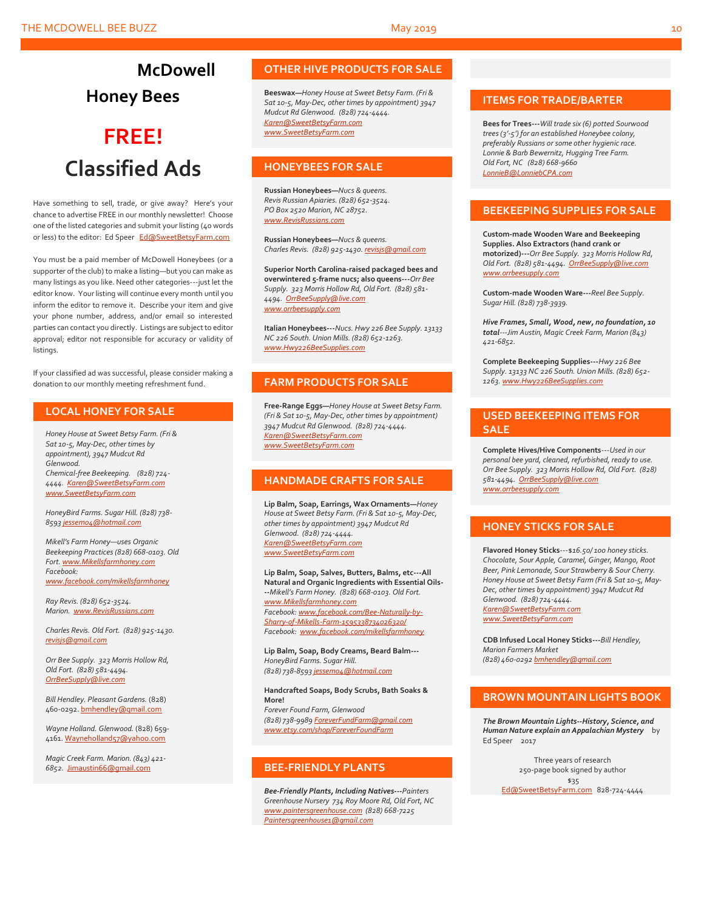# **McDowell Honey Bees**

# **FREE! Classified Ads**

Have something to sell, trade, or give away? Here's your chance to advertise FREE in our monthly newsletter! Choose one of the listed categories and submit your listing (40 words or less) to the editor: Ed Speer [Ed@SweetBetsyFarm.com](mailto:Ed@SweetBetsyFarm.com)

You must be a paid member of McDowell Honeybees (or a supporter of the club) to make a listing—but you can make as many listings as you like. Need other categories---just let the editor know. Your listing will continue every month until you inform the editor to remove it. Describe your item and give your phone number, address, and/or email so interested parties can contact you directly. Listings are subject to editor approval; editor not responsible for accuracy or validity of listings.

If your classified ad was successful, please consider making a donation to our monthly meeting refreshment fund.

#### **LOCAL HONEY FOR SALE**

*Honey House at Sweet Betsy Farm. (Fri & Sat 10-5, May-Dec, other times by appointment), 3947 Mudcut Rd Glenwood. Chemical-free Beekeeping. (828) 724- 4444. [Karen@SweetBetsyFarm.com](mailto:Karen@SweetBetsyFarm.com) www.SweetBetsyFarm.com*

*HoneyBird Farms. Sugar Hill. (828) 738- 859[3 jessem04@hotmail.com](mailto:jessem04@hotmail.com)*

*Mikell's Farm Honey—uses Organic Beekeeping Practices (828) 668-0103. Old Fort[. www.Mikellsfarmhoney.com](http://www.mikellsfarmhoney.com/) Facebook: [www.facebook.com/mikellsfarmhoney](http://www.facebook.com/mikellsfarmhoney)*

*Ray Revis. (828) 652-3524. Marion. [www.RevisRussians.com](http://www.revisrussians.com/)*

*Charles Revis. Old Fort. (828) 925-1430. [revisjs@gmail.com](mailto:revisjs@gmail.com)*

*Orr Bee Supply. 323 Morris Hollow Rd, Old Fort. (828) 581-4494. [OrrBeeSupply@live.com](mailto:OrrBeeSupply@live.com)*

*Bill Hendley. Pleasant Gardens.* (828) 460-0292[. bmhendley@gmail.com](mailto:bmhendley@gmail.com)

*Wayne Holland. Glenwood.* (828) 659- 4161[. Wayneholland57@yahoo.com](mailto:Wayneholland57@yahoo.com)

*Magic Creek Farm. Marion. (843) 421- 6852.* [Jimaustin66@gmail.com](mailto:Jimaustin66@gmail.com)

#### **OTHER HIVE PRODUCTS FOR SALE**

**Beeswax—***Honey House at Sweet Betsy Farm. (Fri & Sat 10-5, May-Dec, other times by appointment) 3947 Mudcut Rd Glenwood. (828) 724-4444. [Karen@SweetBetsyFarm.com](mailto:Karen@SweetBetsyFarm.com) www.SweetBetsyFarm.com*

#### **HONEYBEES FOR SALE**

**Russian Honeybees—***Nucs & queens. Revis Russian Apiaries. (828) 652-3524. PO Box 2520 Marion, NC 28752. [www.RevisRussians.com](http://www.revisrussians.com/)*

**Russian Honeybees—***Nucs & queens. Charles Revis. (828) 925-1430. [revisjs@gmail.com](mailto:revisjs@gmail.com)*

**Superior North Carolina-raised packaged bees and overwintered 5-frame nucs; also queens---***Orr Bee Supply. 323 Morris Hollow Rd, Old Fort. (828) 581- 4494. [OrrBeeSupply@live.com](mailto:OrrBeeSupply@live.com) www.orrbeesupply.com*

**Italian Honeybees---***Nucs. Hwy 226 Bee Supply. 13133 NC 226 South. Union Mills. (828) 652-1263. [www.Hwy226BeeSupplies.com](http://www.hwy226beesupplies.com/)*

#### **FARM PRODUCTS FOR SALE**

**Free-Range Eggs—***Honey House at Sweet Betsy Farm. (Fri & Sat 10-5, May-Dec, other times by appointment) 3947 Mudcut Rd Glenwood. (828) 724-4444. [Karen@SweetBetsyFarm.com](mailto:Karen@SweetBetsyFarm.com) www.SweetBetsyFarm.com*

#### **HANDMADE CRAFTS FOR SALE**

**Lip Balm, Soap, Earrings, Wax Ornaments—***Honey House at Sweet Betsy Farm. (Fri & Sat 10-5, May-Dec, other times by appointment) 3947 Mudcut Rd Glenwood. (828) 724-4444. [Karen@SweetBetsyFarm.com](mailto:Karen@SweetBetsyFarm.com) [www.SweetBetsyFarm.com](http://www.sweetbetsyfarm.com/)*

**Lip Balm, Soap, Salves, Butters, Balms, etc---All Natural and Organic Ingredients with Essential Oils- --***Mikell's Farm Honey. (828) 668-0103. Old Fort. [www.Mikellsfarmhoney.com](http://www.mikellsfarmhoney.com/) Facebook[: www.facebook.com/Bee-Naturally-by-](http://www.facebook.com/Bee-Naturally-by-Sharry-of-Mikells-Farm-1595338734026320/)[Sharry-of-Mikells-Farm-1595338734026320/](http://www.facebook.com/Bee-Naturally-by-Sharry-of-Mikells-Farm-1595338734026320/) Facebook: [www.facebook.com/mikellsfarmhoney](http://www.facebook.com/mikellsfarmhoney)*

**Lip Balm, Soap, Body Creams, Beard Balm---** *HoneyBird Farms. Sugar Hill. (828) 738-859[3 jessem04@hotmail.com](mailto:jessem04@hotmail.com)*

**Handcrafted Soaps, Body Scrubs, Bath Soaks & More!** *Forever Found Farm, Glenwood (828) 738-9989 [ForeverFundFarm@gmail.com](mailto:ForeverFundFarm@gmail.com) [www.etsy.com/shop/ForeverFoundFarm](http://www.etsy.com/shop/ForeverFoundFarm)*

#### **BEE-FRIENDLY PLANTS**

*Bee-Friendly Plants, Including Natives---Painters Greenhouse Nursery 734 Roy Moore Rd, Old Fort, NC [www.paintersgreenhouse.com](http://www.paintersgreenhouse.com/) (828) 668-7225 [Paintersgreenhouse1@gmail.com](mailto:Paintersgreenhouse1@gmail.com)*

#### **ITEMS FOR TRADE/BARTER**

**Bees for Trees---***Will trade six (6) potted Sourwood trees (3'-5') for an established Honeybee colony, preferably Russians or some other hygienic race. Lonnie & Barb Bewernitz, Hugging Tree Farm. Old Fort, NC (828) 668-9660 [LonnieB@LonniebCPA.com](mailto:LonnieB@LonniebCPA.com)*

#### **BEEKEEPING SUPPLIES FOR SALE**

**Custom-made Wooden Ware and Beekeeping Supplies. Also Extractors (hand crank or motorized)---***Orr Bee Supply. 323 Morris Hollow Rd, Old Fort. (828) 581-4494[. OrrBeeSupply@live.com](mailto:OrrBeeSupply@live.com) [www.orrbeesupply.com](file:///K:/McDowell%20Honeybees/2016/2016%20Newsletters/May%202016%20Newsletter/www.orrbeesupply.com)*

**Custom-made Wooden Ware---***Reel Bee Supply. Sugar Hill. (828) 738-3939.*

*Hive Frames, Small, Wood, new, no foundation, 10 total---Jim Austin, Magic Creek Farm, Marion (843) 421-6852.*

**Complete Beekeeping Supplies---***Hwy 226 Bee Supply. 13133 NC 226 South. Union Mills. (828) 652- 1263[. www.Hwy226BeeSupplies.com](http://www.hwy226beesupplies.com/)*

#### **USED BEEKEEPING ITEMS FOR SALE**

**Complete Hives/Hive Components**---*Used in our personal bee yard, cleaned, refurbished, ready to use. Orr Bee Supply. 323 Morris Hollow Rd, Old Fort. (828) 581-4494. [OrrBeeSupply@live.com](mailto:OrrBeeSupply@live.com) [www.orrbeesupply.com](file:///K:/McDowell%20Honeybees/2016/2016%20Newsletters/May%202016%20Newsletter/www.orrbeesupply.com)*

#### **HONEY STICKS FOR SALE**

**Flavored Honey Sticks**---\$*16.50/ 100 honey sticks. Chocolate, Sour Apple, Caramel, Ginger, Mango, Root Beer, Pink Lemonade, Sour Strawberry & Sour Cherry. Honey House at Sweet Betsy Farm (Fri & Sat 10-5, May-Dec, other times by appointment) 3947 Mudcut Rd Glenwood. (828) 724-4444. [Karen@SweetBetsyFarm.com](mailto:Karen@SweetBetsyFarm.com) www.SweetBetsyFarm.com*

**CDB Infused Local Honey Sticks---***Bill Hendley, Marion Farmers Market (828) 460-029[2 bmhendley@gmail.com](mailto:bmhendley@gmail.com)*

#### **BROWN MOUNTAIN LIGHTS BOOK**

*The Brown Mountain Lights--History, Science, and Human Nature explain an Appalachian Mystery* by Ed Speer 2017

Three years of research 250-page book signed by author \$35

[Ed@SweetBetsyFarm.com](mailto:Ed@SweetBetsyFarm.com) 828-724-4444